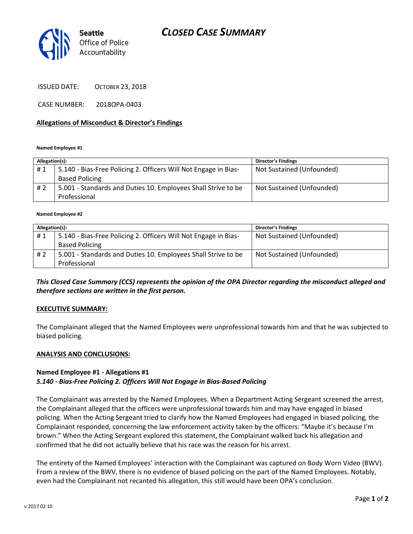## *CLOSED CASE SUMMARY*



ISSUED DATE: OCTOBER 23, 2018

CASE NUMBER: 2018OPA-0403

### **Allegations of Misconduct & Director's Findings**

#### **Named Employee #1**

| Allegation(s): |                                                                 | <b>Director's Findings</b> |
|----------------|-----------------------------------------------------------------|----------------------------|
| #1             | 5.140 - Bias-Free Policing 2. Officers Will Not Engage in Bias- | Not Sustained (Unfounded)  |
|                | <b>Based Policing</b>                                           |                            |
| # 2            | 5.001 - Standards and Duties 10. Employees Shall Strive to be   | Not Sustained (Unfounded)  |
|                | Professional                                                    |                            |

#### **Named Employee #2**

| Allegation(s): |                                                                 | <b>Director's Findings</b> |
|----------------|-----------------------------------------------------------------|----------------------------|
| #1             | 5.140 - Bias-Free Policing 2. Officers Will Not Engage in Bias- | Not Sustained (Unfounded)  |
|                | <b>Based Policing</b>                                           |                            |
| #2             | 5.001 - Standards and Duties 10. Employees Shall Strive to be   | Not Sustained (Unfounded)  |
|                | Professional                                                    |                            |

### *This Closed Case Summary (CCS) represents the opinion of the OPA Director regarding the misconduct alleged and therefore sections are written in the first person.*

#### **EXECUTIVE SUMMARY:**

The Complainant alleged that the Named Employees were unprofessional towards him and that he was subjected to biased policing.

#### **ANALYSIS AND CONCLUSIONS:**

### **Named Employee #1 - Allegations #1** *5.140 - Bias-Free Policing 2. Officers Will Not Engage in Bias-Based Policing*

The Complainant was arrested by the Named Employees. When a Department Acting Sergeant screened the arrest, the Complainant alleged that the officers were unprofessional towards him and may have engaged in biased policing. When the Acting Sergeant tried to clarify how the Named Employees had engaged in biased policing, the Complainant responded, concerning the law enforcement activity taken by the officers: "Maybe it's because I'm brown." When the Acting Sergeant explored this statement, the Complainant walked back his allegation and confirmed that he did not actually believe that his race was the reason for his arrest.

The entirety of the Named Employees' interaction with the Complainant was captured on Body Worn Video (BWV). From a review of the BWV, there is no evidence of biased policing on the part of the Named Employees. Notably, even had the Complainant not recanted his allegation, this still would have been OPA's conclusion.